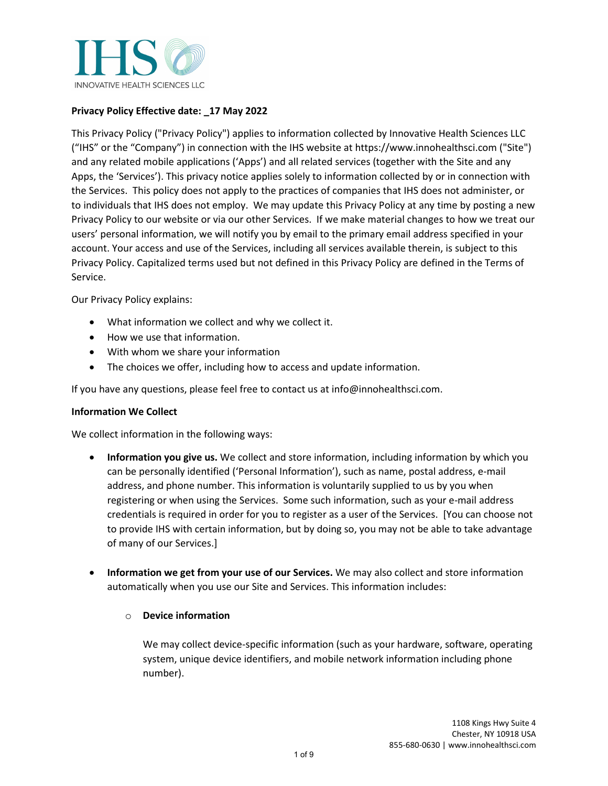

# **Privacy Policy Effective date: \_17 May 2022**

This Privacy Policy ("Privacy Policy") applies to information collected by Innovative Health Sciences LLC ("IHS" or the "Company") in connection with the IHS website at https://www.innohealthsci.com ("Site") and any related mobile applications ('Apps') and all related services (together with the Site and any Apps, the 'Services'). This privacy notice applies solely to information collected by or in connection with the Services. This policy does not apply to the practices of companies that IHS does not administer, or to individuals that IHS does not employ. We may update this Privacy Policy at any time by posting a new Privacy Policy to our website or via our other Services. If we make material changes to how we treat our users' personal information, we will notify you by email to the primary email address specified in your account. Your access and use of the Services, including all services available therein, is subject to this Privacy Policy. Capitalized terms used but not defined in this Privacy Policy are defined in the Terms of Service.

Our Privacy Policy explains:

- What information we collect and why we collect it.
- How we use that information.
- With whom we share your information
- The choices we offer, including how to access and update information.

If you have any questions, please feel free to contact us at info@innohealthsci.com.

## **Information We Collect**

We collect information in the following ways:

- **Information you give us.** We collect and store information, including information by which you can be personally identified ('Personal Information'), such as name, postal address, e-mail address, and phone number. This information is voluntarily supplied to us by you when registering or when using the Services. Some such information, such as your e-mail address credentials is required in order for you to register as a user of the Services. [You can choose not to provide IHS with certain information, but by doing so, you may not be able to take advantage of many of our Services.]
- **Information we get from your use of our Services.** We may also collect and store information automatically when you use our Site and Services. This information includes:

## o **Device information**

We may collect device-specific information (such as your hardware, software, operating system, unique device identifiers, and mobile network information including phone number).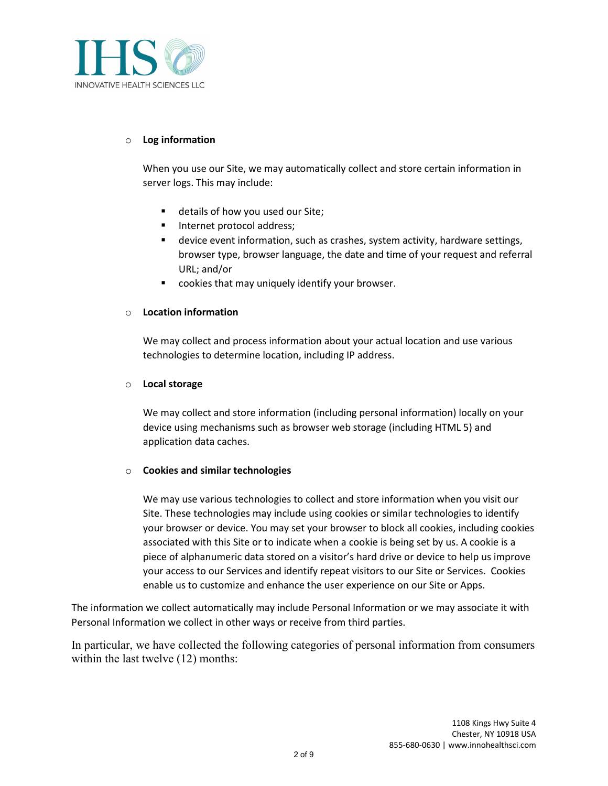

### o **Log information**

When you use our Site, we may automatically collect and store certain information in server logs. This may include:

- details of how you used our Site;
- **Internet protocol address;**
- device event information, such as crashes, system activity, hardware settings, browser type, browser language, the date and time of your request and referral URL; and/or
- cookies that may uniquely identify your browser.

### o **Location information**

We may collect and process information about your actual location and use various technologies to determine location, including IP address.

### o **Local storage**

We may collect and store information (including personal information) locally on your device using mechanisms such as browser web storage (including HTML 5) and application data caches.

## o **Cookies and similar technologies**

We may use various technologies to collect and store information when you visit our Site. These technologies may include using cookies or similar technologies to identify your browser or device. You may set your browser to block all cookies, including cookies associated with this Site or to indicate when a cookie is being set by us. A cookie is a piece of alphanumeric data stored on a visitor's hard drive or device to help us improve your access to our Services and identify repeat visitors to our Site or Services. Cookies enable us to customize and enhance the user experience on our Site or Apps.

The information we collect automatically may include Personal Information or we may associate it with Personal Information we collect in other ways or receive from third parties.

In particular, we have collected the following categories of personal information from consumers within the last twelve (12) months: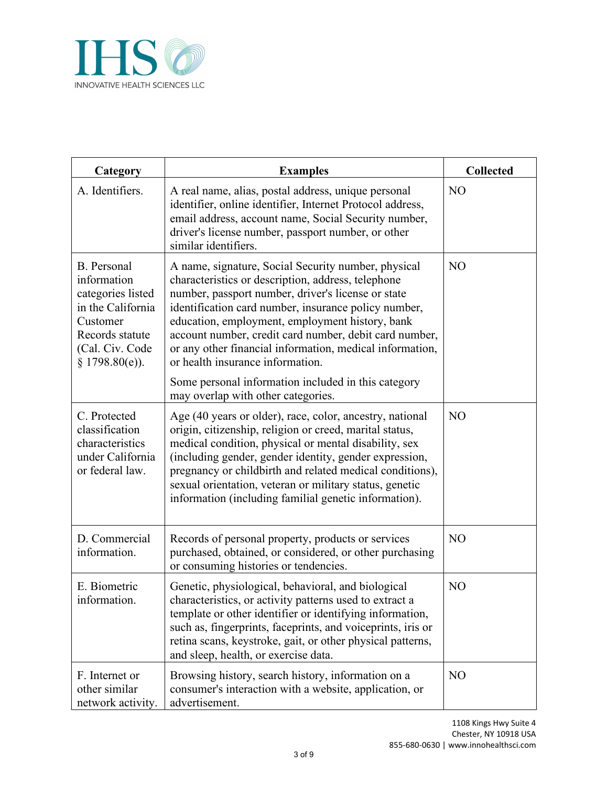

| Category                                                                                                                                          | <b>Examples</b>                                                                                                                                                                                                                                                                                                                                                                                                                      | <b>Collected</b> |
|---------------------------------------------------------------------------------------------------------------------------------------------------|--------------------------------------------------------------------------------------------------------------------------------------------------------------------------------------------------------------------------------------------------------------------------------------------------------------------------------------------------------------------------------------------------------------------------------------|------------------|
| A. Identifiers.                                                                                                                                   | A real name, alias, postal address, unique personal<br>identifier, online identifier, Internet Protocol address,<br>email address, account name, Social Security number,<br>driver's license number, passport number, or other<br>similar identifiers.                                                                                                                                                                               | NO               |
| <b>B.</b> Personal<br>information<br>categories listed<br>in the California<br>Customer<br>Records statute<br>(Cal. Civ. Code<br>$§$ 1798.80(e)). | A name, signature, Social Security number, physical<br>characteristics or description, address, telephone<br>number, passport number, driver's license or state<br>identification card number, insurance policy number,<br>education, employment, employment history, bank<br>account number, credit card number, debit card number,<br>or any other financial information, medical information,<br>or health insurance information. | N <sub>O</sub>   |
|                                                                                                                                                   | Some personal information included in this category<br>may overlap with other categories.                                                                                                                                                                                                                                                                                                                                            |                  |
| C. Protected<br>classification<br>characteristics<br>under California<br>or federal law.                                                          | Age (40 years or older), race, color, ancestry, national<br>origin, citizenship, religion or creed, marital status,<br>medical condition, physical or mental disability, sex<br>(including gender, gender identity, gender expression,<br>pregnancy or childbirth and related medical conditions),<br>sexual orientation, veteran or military status, genetic<br>information (including familial genetic information).               | N <sub>O</sub>   |
| D. Commercial<br>information.                                                                                                                     | Records of personal property, products or services<br>purchased, obtained, or considered, or other purchasing<br>or consuming histories or tendencies.                                                                                                                                                                                                                                                                               | N <sub>O</sub>   |
| E. Biometric<br>information.                                                                                                                      | Genetic, physiological, behavioral, and biological<br>characteristics, or activity patterns used to extract a<br>template or other identifier or identifying information,<br>such as, fingerprints, faceprints, and voiceprints, iris or<br>retina scans, keystroke, gait, or other physical patterns,<br>and sleep, health, or exercise data.                                                                                       | N <sub>O</sub>   |
| F. Internet or<br>other similar<br>network activity.                                                                                              | Browsing history, search history, information on a<br>consumer's interaction with a website, application, or<br>advertisement.                                                                                                                                                                                                                                                                                                       | N <sub>O</sub>   |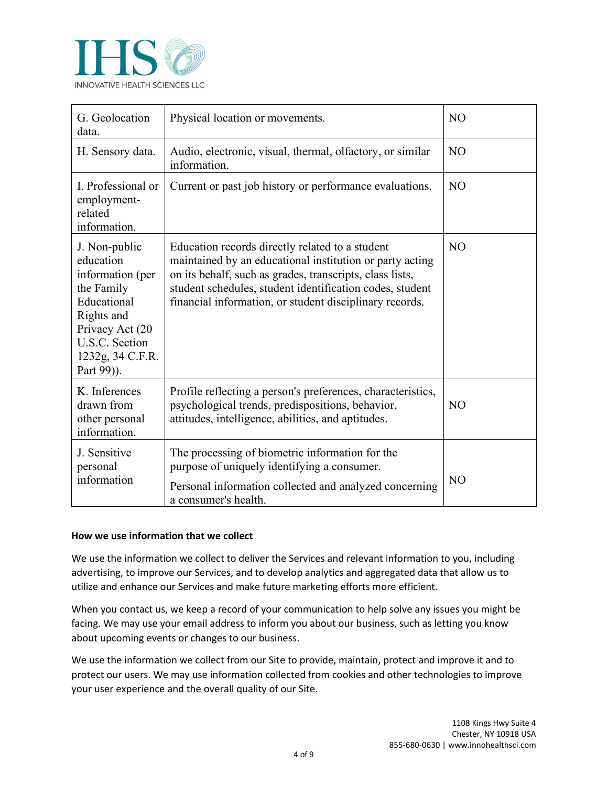

| G. Geolocation<br>data.                                                                                                                                          | Physical location or movements.                                                                                                                                                                                                                                                                | N <sub>O</sub> |
|------------------------------------------------------------------------------------------------------------------------------------------------------------------|------------------------------------------------------------------------------------------------------------------------------------------------------------------------------------------------------------------------------------------------------------------------------------------------|----------------|
| H. Sensory data.                                                                                                                                                 | Audio, electronic, visual, thermal, olfactory, or similar<br>information.                                                                                                                                                                                                                      | N <sub>O</sub> |
| I. Professional or<br>employment-<br>related<br>information.                                                                                                     | Current or past job history or performance evaluations.                                                                                                                                                                                                                                        | N <sub>O</sub> |
| J. Non-public<br>education<br>information (per<br>the Family<br>Educational<br>Rights and<br>Privacy Act (20<br>U.S.C. Section<br>1232g, 34 C.F.R.<br>Part 99)). | Education records directly related to a student<br>maintained by an educational institution or party acting<br>on its behalf, such as grades, transcripts, class lists,<br>student schedules, student identification codes, student<br>financial information, or student disciplinary records. | N <sub>O</sub> |
| K. Inferences<br>drawn from<br>other personal<br>information.                                                                                                    | Profile reflecting a person's preferences, characteristics,<br>psychological trends, predispositions, behavior,<br>attitudes, intelligence, abilities, and aptitudes.                                                                                                                          | NO             |
| J. Sensitive<br>personal<br>information                                                                                                                          | The processing of biometric information for the<br>purpose of uniquely identifying a consumer.<br>Personal information collected and analyzed concerning<br>a consumer's health.                                                                                                               | NO             |

## **How we use information that we collect**

We use the information we collect to deliver the Services and relevant information to you, including advertising, to improve our Services, and to develop analytics and aggregated data that allow us to utilize and enhance our Services and make future marketing efforts more efficient.

When you contact us, we keep a record of your communication to help solve any issues you might be facing. We may use your email address to inform you about our business, such as letting you know about upcoming events or changes to our business.

We use the information we collect from our Site to provide, maintain, protect and improve it and to protect our users. We may use information collected from cookies and other technologies to improve your user experience and the overall quality of our Site.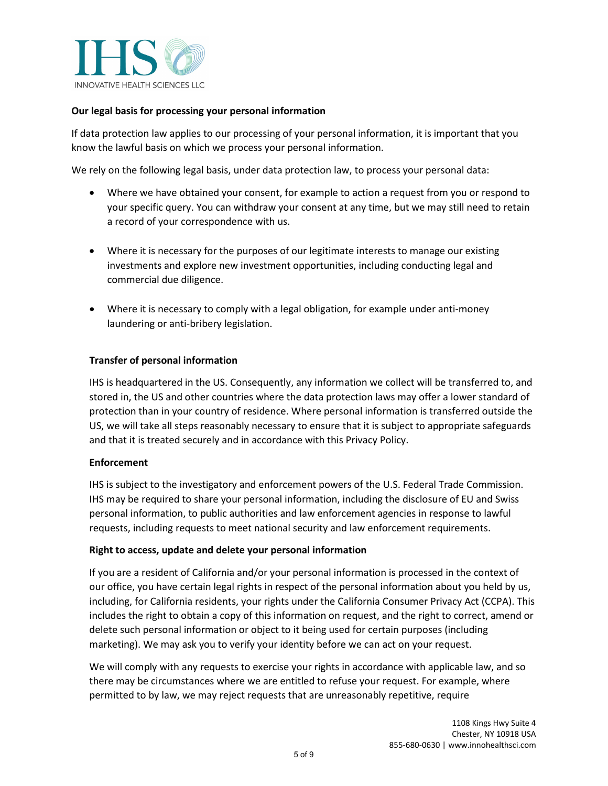

## **Our legal basis for processing your personal information**

If data protection law applies to our processing of your personal information, it is important that you know the lawful basis on which we process your personal information.

We rely on the following legal basis, under data protection law, to process your personal data:

- Where we have obtained your consent, for example to action a request from you or respond to your specific query. You can withdraw your consent at any time, but we may still need to retain a record of your correspondence with us.
- Where it is necessary for the purposes of our legitimate interests to manage our existing investments and explore new investment opportunities, including conducting legal and commercial due diligence.
- Where it is necessary to comply with a legal obligation, for example under anti-money laundering or anti-bribery legislation.

### **Transfer of personal information**

IHS is headquartered in the US. Consequently, any information we collect will be transferred to, and stored in, the US and other countries where the data protection laws may offer a lower standard of protection than in your country of residence. Where personal information is transferred outside the US, we will take all steps reasonably necessary to ensure that it is subject to appropriate safeguards and that it is treated securely and in accordance with this Privacy Policy.

### **Enforcement**

IHS is subject to the investigatory and enforcement powers of the U.S. Federal Trade Commission. IHS may be required to share your personal information, including the disclosure of EU and Swiss personal information, to public authorities and law enforcement agencies in response to lawful requests, including requests to meet national security and law enforcement requirements.

#### **Right to access, update and delete your personal information**

If you are a resident of California and/or your personal information is processed in the context of our office, you have certain legal rights in respect of the personal information about you held by us, including, for California residents, your rights under the California Consumer Privacy Act (CCPA). This includes the right to obtain a copy of this information on request, and the right to correct, amend or delete such personal information or object to it being used for certain purposes (including marketing). We may ask you to verify your identity before we can act on your request.

We will comply with any requests to exercise your rights in accordance with applicable law, and so there may be circumstances where we are entitled to refuse your request. For example, where permitted to by law, we may reject requests that are unreasonably repetitive, require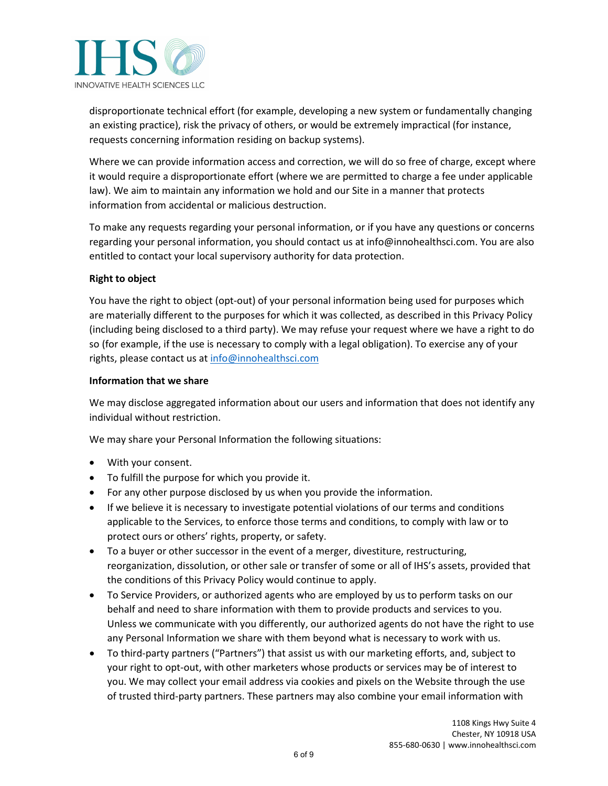

disproportionate technical effort (for example, developing a new system or fundamentally changing an existing practice), risk the privacy of others, or would be extremely impractical (for instance, requests concerning information residing on backup systems).

Where we can provide information access and correction, we will do so free of charge, except where it would require a disproportionate effort (where we are permitted to charge a fee under applicable law). We aim to maintain any information we hold and our Site in a manner that protects information from accidental or malicious destruction.

To make any requests regarding your personal information, or if you have any questions or concerns regarding your personal information, you should contact us at info@innohealthsci.com. You are also entitled to contact your local supervisory authority for data protection.

# **Right to object**

You have the right to object (opt-out) of your personal information being used for purposes which are materially different to the purposes for which it was collected, as described in this Privacy Policy (including being disclosed to a third party). We may refuse your request where we have a right to do so (for example, if the use is necessary to comply with a legal obligation). To exercise any of your rights, please contact us at [info@innohealthsci.com](mailto:info@innohealthsci.com) 

## **Information that we share**

We may disclose aggregated information about our users and information that does not identify any individual without restriction.

We may share your Personal Information the following situations:

- With your consent.
- To fulfill the purpose for which you provide it.
- For any other purpose disclosed by us when you provide the information.
- If we believe it is necessary to investigate potential violations of our terms and conditions applicable to the Services, to enforce those terms and conditions, to comply with law or to protect ours or others' rights, property, or safety.
- To a buyer or other successor in the event of a merger, divestiture, restructuring, reorganization, dissolution, or other sale or transfer of some or all of IHS's assets, provided that the conditions of this Privacy Policy would continue to apply.
- To Service Providers, or authorized agents who are employed by us to perform tasks on our behalf and need to share information with them to provide products and services to you. Unless we communicate with you differently, our authorized agents do not have the right to use any Personal Information we share with them beyond what is necessary to work with us.
- To third-party partners ("Partners") that assist us with our marketing efforts, and, subject to your right to opt-out, with other marketers whose products or services may be of interest to you. We may collect your email address via cookies and pixels on the Website through the use of trusted third-party partners. These partners may also combine your email information with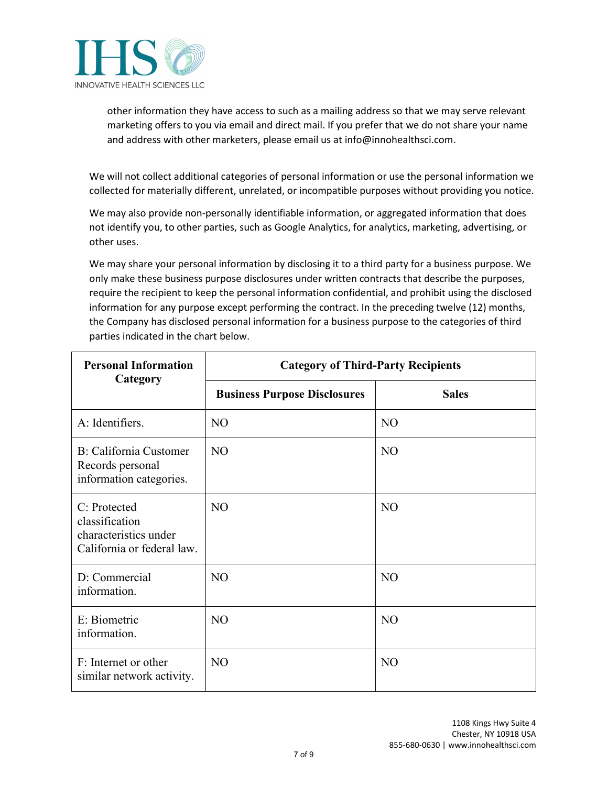

other information they have access to such as a mailing address so that we may serve relevant marketing offers to you via email and direct mail. If you prefer that we do not share your name and address with other marketers, please email us at info@innohealthsci.com.

We will not collect additional categories of personal information or use the personal information we collected for materially different, unrelated, or incompatible purposes without providing you notice.

We may also provide non-personally identifiable information, or aggregated information that does not identify you, to other parties, such as Google Analytics, for analytics, marketing, advertising, or other uses.

We may share your personal information by disclosing it to a third party for a business purpose. We only make these business purpose disclosures under written contracts that describe the purposes, require the recipient to keep the personal information confidential, and prohibit using the disclosed information for any purpose except performing the contract. In the preceding twelve (12) months, the Company has disclosed personal information for a business purpose to the categories of third parties indicated in the chart below.

| <b>Personal Information</b><br>Category                                               | <b>Category of Third-Party Recipients</b> |                |  |
|---------------------------------------------------------------------------------------|-------------------------------------------|----------------|--|
|                                                                                       | <b>Business Purpose Disclosures</b>       | <b>Sales</b>   |  |
| A: Identifiers.                                                                       | N <sub>O</sub>                            | N <sub>O</sub> |  |
| B: California Customer<br>Records personal<br>information categories.                 | NO                                        | NO             |  |
| C: Protected<br>classification<br>characteristics under<br>California or federal law. | N <sub>O</sub>                            | N <sub>O</sub> |  |
| D: Commercial<br>information.                                                         | N <sub>O</sub>                            | N <sub>O</sub> |  |
| E: Biometric<br>information.                                                          | N <sub>O</sub>                            | NO             |  |
| F: Internet or other<br>similar network activity.                                     | N <sub>O</sub>                            | N <sub>O</sub> |  |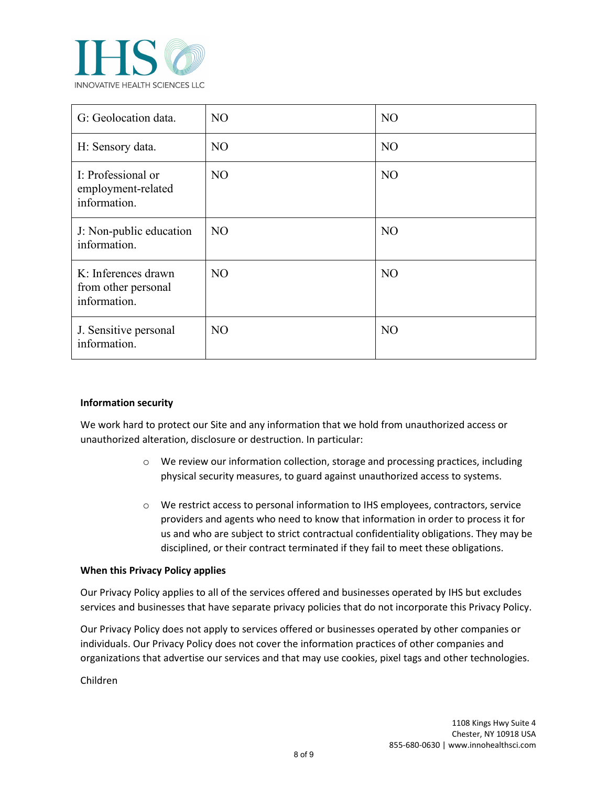

| G: Geolocation data.                                       | N <sub>O</sub> | N <sub>O</sub> |
|------------------------------------------------------------|----------------|----------------|
| H: Sensory data.                                           | N <sub>O</sub> | N <sub>O</sub> |
| I: Professional or<br>employment-related<br>information.   | N <sub>O</sub> | N <sub>O</sub> |
| J: Non-public education<br>information.                    | NO.            | N <sub>O</sub> |
| K: Inferences drawn<br>from other personal<br>information. | N <sub>O</sub> | N <sub>O</sub> |
| J. Sensitive personal<br>information.                      | NO.            | N <sub>O</sub> |

## **Information security**

We work hard to protect our Site and any information that we hold from unauthorized access or unauthorized alteration, disclosure or destruction. In particular:

- o We review our information collection, storage and processing practices, including physical security measures, to guard against unauthorized access to systems.
- o We restrict access to personal information to IHS employees, contractors, service providers and agents who need to know that information in order to process it for us and who are subject to strict contractual confidentiality obligations. They may be disciplined, or their contract terminated if they fail to meet these obligations.

#### **When this Privacy Policy applies**

Our Privacy Policy applies to all of the services offered and businesses operated by IHS but excludes services and businesses that have separate privacy policies that do not incorporate this Privacy Policy.

Our Privacy Policy does not apply to services offered or businesses operated by other companies or individuals. Our Privacy Policy does not cover the information practices of other companies and organizations that advertise our services and that may use cookies, pixel tags and other technologies.

Children